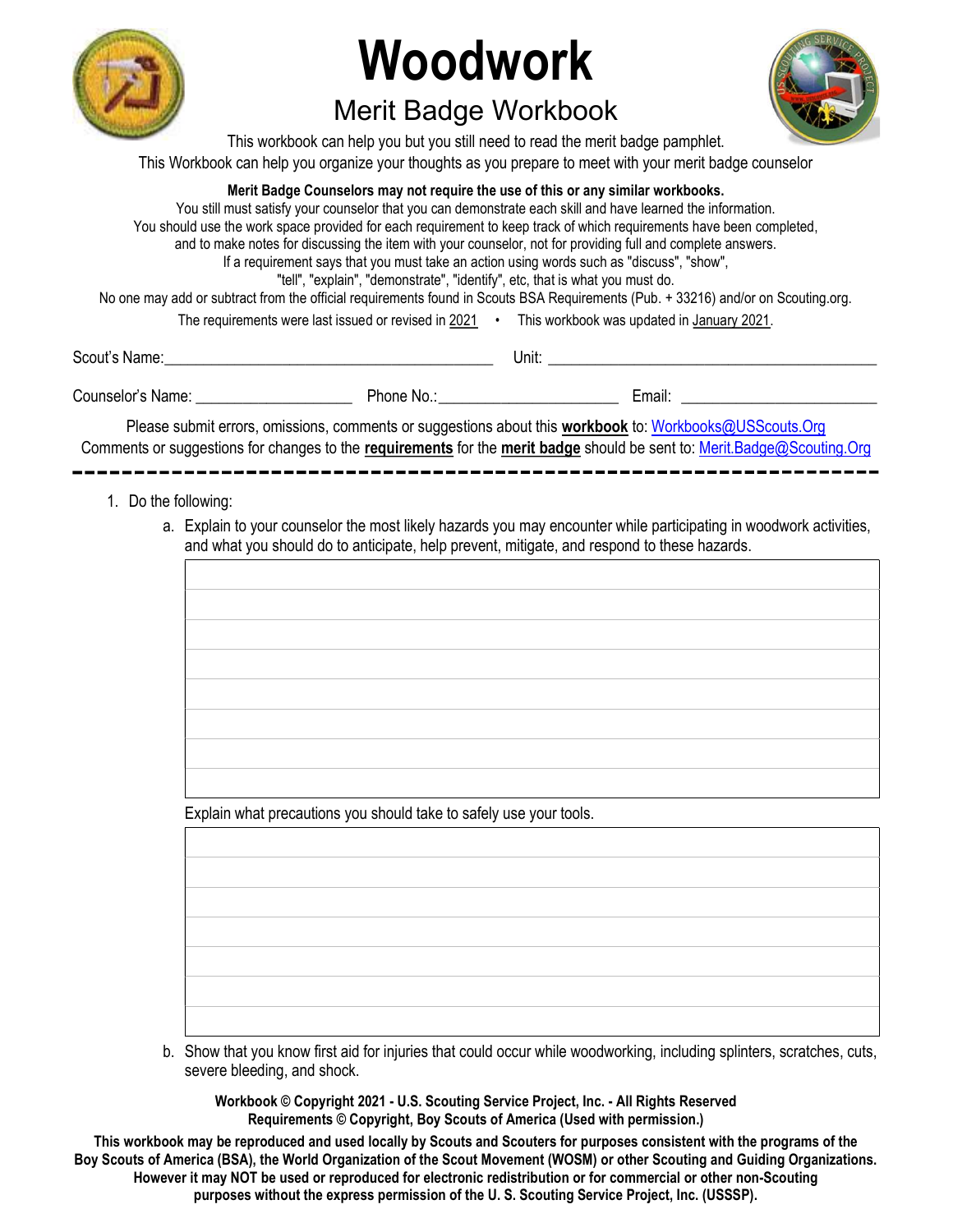

## Merit Badge Workbook



This workbook can help you but you still need to read the merit badge pamphlet. This Workbook can help you organize your thoughts as you prepare to meet with your merit badge counselor

#### Merit Badge Counselors may not require the use of this or any similar workbooks.

You still must satisfy your counselor that you can demonstrate each skill and have learned the information. You should use the work space provided for each requirement to keep track of which requirements have been completed, and to make notes for discussing the item with your counselor, not for providing full and complete answers. If a requirement says that you must take an action using words such as "discuss", "show", "tell", "explain", "demonstrate", "identify", etc, that is what you must do. No one may add or subtract from the official requirements found in Scouts BSA Requirements (Pub. + 33216) and/or on Scouting.org. The requirements were last issued or revised in 2021 • This workbook was updated in January 2021.

Scout's Name: \_\_\_\_\_\_\_\_\_\_\_\_\_\_\_\_\_\_\_\_\_\_\_\_\_\_\_\_\_\_\_\_\_\_\_\_\_\_\_\_\_\_ Unit: \_\_\_\_\_\_\_\_\_\_\_\_\_\_\_\_\_\_\_\_\_\_\_\_\_\_\_\_\_\_\_\_\_\_\_\_\_\_\_\_\_\_

Counselor's Name: \_\_\_\_\_\_\_\_\_\_\_\_\_\_\_\_\_\_\_\_ Phone No.: \_\_\_\_\_\_\_\_\_\_\_\_\_\_\_\_\_\_\_\_\_\_\_ Email: \_\_\_\_\_\_\_\_\_\_\_\_\_\_\_\_\_\_\_\_\_\_\_\_\_

Please submit errors, omissions, comments or suggestions about this **workbook** to: Workbooks@USScouts.Org Comments or suggestions for changes to the requirements for the merit badge should be sent to: Merit.Badge@Scouting.Org

- 1. Do the following:
	- a. Explain to your counselor the most likely hazards you may encounter while participating in woodwork activities, and what you should do to anticipate, help prevent, mitigate, and respond to these hazards.

Explain what precautions you should take to safely use your tools.

 b. Show that you know first aid for injuries that could occur while woodworking, including splinters, scratches, cuts, severe bleeding, and shock.

Workbook © Copyright 2021 - U.S. Scouting Service Project, Inc. - All Rights Reserved Requirements © Copyright, Boy Scouts of America (Used with permission.)

This workbook may be reproduced and used locally by Scouts and Scouters for purposes consistent with the programs of the Boy Scouts of America (BSA), the World Organization of the Scout Movement (WOSM) or other Scouting and Guiding Organizations. However it may NOT be used or reproduced for electronic redistribution or for commercial or other non-Scouting purposes without the express permission of the U. S. Scouting Service Project, Inc. (USSSP).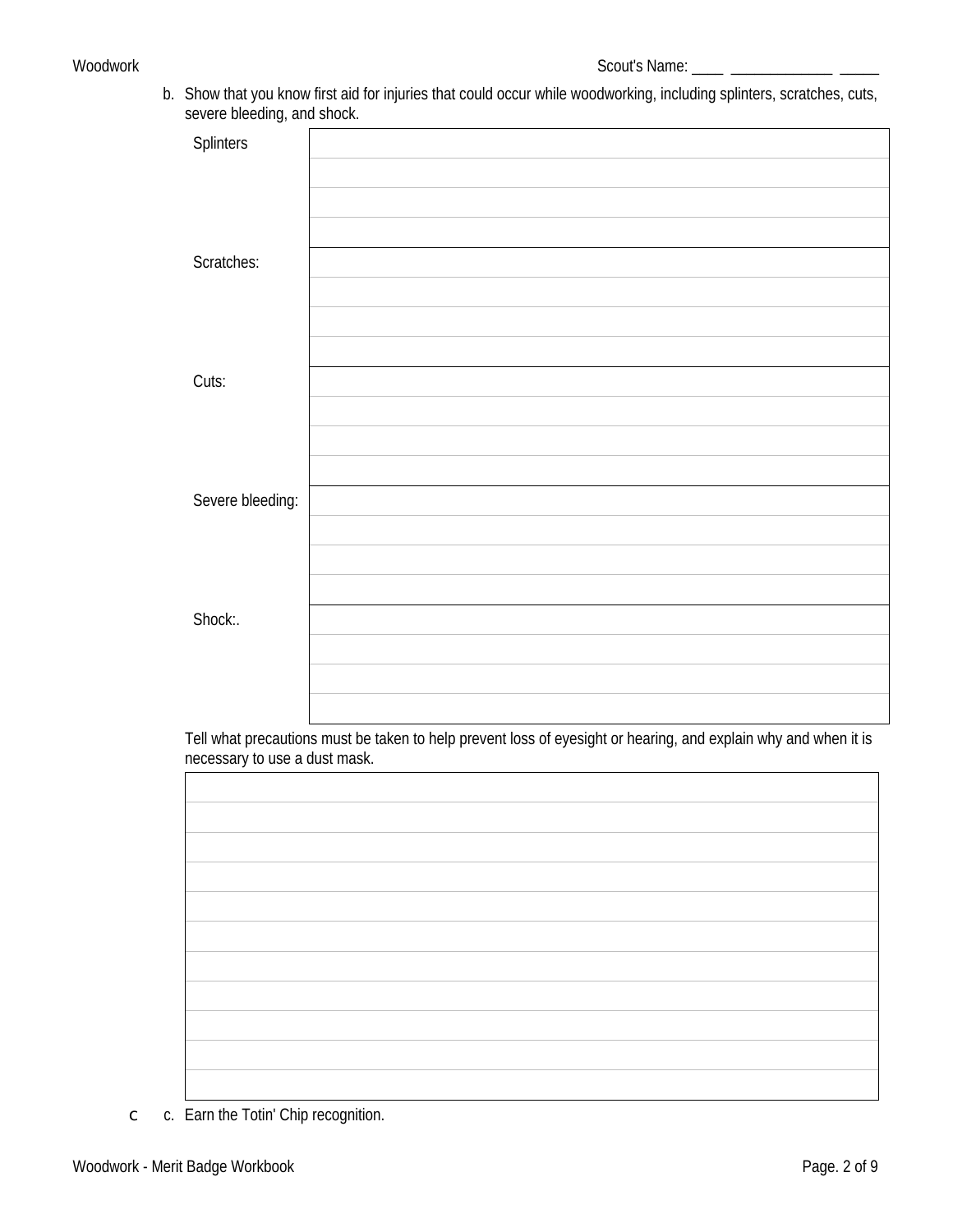b. Show that you know first aid for injuries that could occur while woodworking, including splinters, scratches, cuts, severe bleeding, and shock.

| <b>Splinters</b> |  |
|------------------|--|
|                  |  |
|                  |  |
|                  |  |
|                  |  |
|                  |  |
|                  |  |
|                  |  |
|                  |  |
| Scratches:       |  |
|                  |  |
|                  |  |
|                  |  |
|                  |  |
|                  |  |
|                  |  |
|                  |  |
|                  |  |
|                  |  |
| Cuts:            |  |
|                  |  |
|                  |  |
|                  |  |
|                  |  |
|                  |  |
|                  |  |
|                  |  |
|                  |  |
| Severe bleeding: |  |
|                  |  |
|                  |  |
|                  |  |
|                  |  |
|                  |  |
|                  |  |
|                  |  |
|                  |  |
|                  |  |
| Shock:.          |  |
|                  |  |
|                  |  |
|                  |  |
|                  |  |
|                  |  |
|                  |  |
|                  |  |

Tell what precautions must be taken to help prevent loss of eyesight or hearing, and explain why and when it is necessary to use a dust mask.

c. Earn the Totin' Chip recognition.  $\mathsf{C}^-$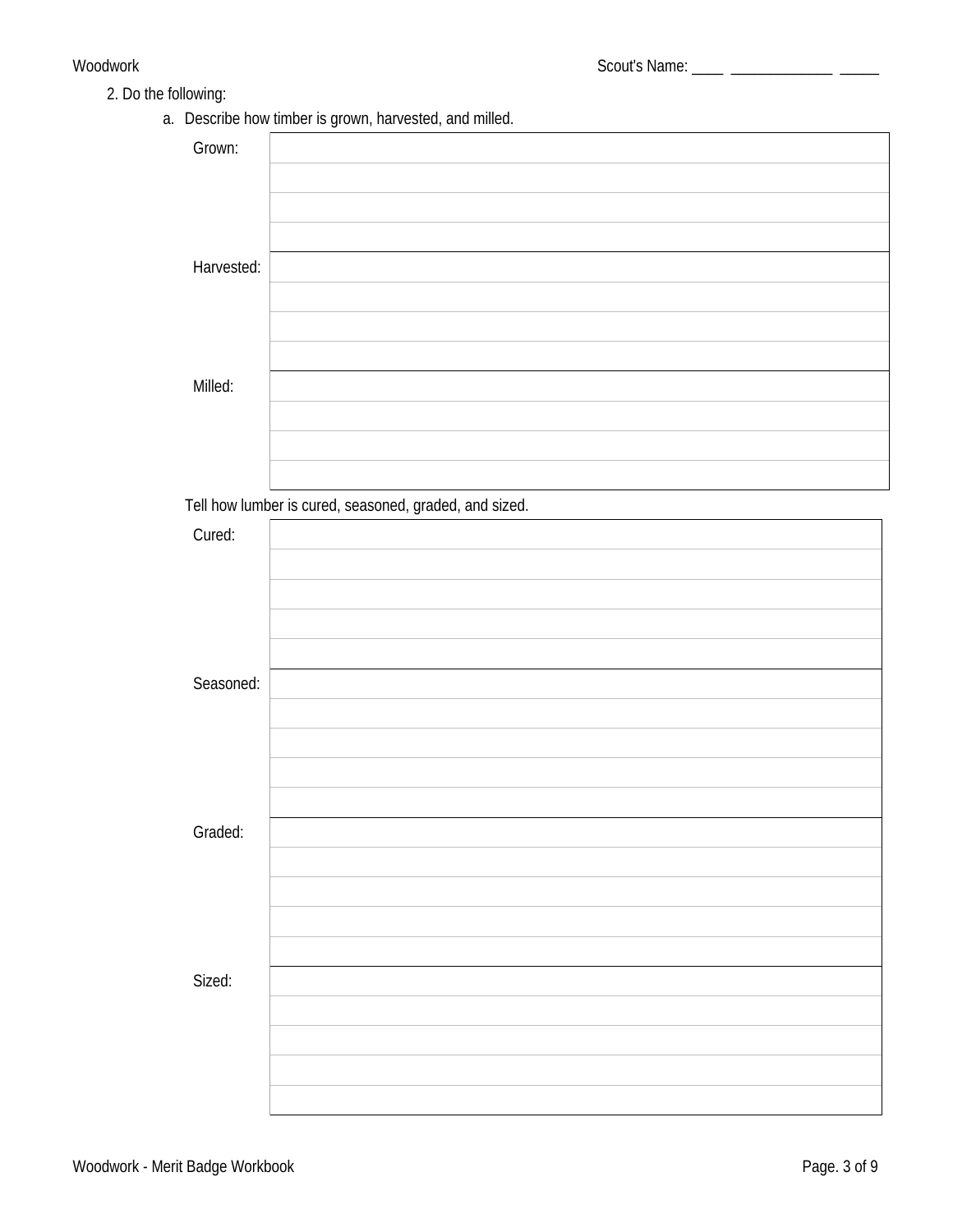### 2. Do the following:

a. Describe how timber is grown, harvested, and milled.

| Grown:     |                                                        |
|------------|--------------------------------------------------------|
|            |                                                        |
|            |                                                        |
|            |                                                        |
| Harvested: |                                                        |
|            |                                                        |
|            |                                                        |
|            |                                                        |
| Milled:    |                                                        |
|            |                                                        |
|            |                                                        |
|            |                                                        |
|            | Tell how lumber is cured, seasoned, graded, and sized. |
| Cured:     |                                                        |
|            |                                                        |
|            |                                                        |
|            |                                                        |
|            |                                                        |
| Seasoned:  |                                                        |
|            |                                                        |
|            |                                                        |
|            |                                                        |
|            |                                                        |
| Graded:    |                                                        |
|            |                                                        |
|            |                                                        |
|            |                                                        |
|            |                                                        |
| Sized:     |                                                        |
|            |                                                        |
|            |                                                        |
|            |                                                        |
|            |                                                        |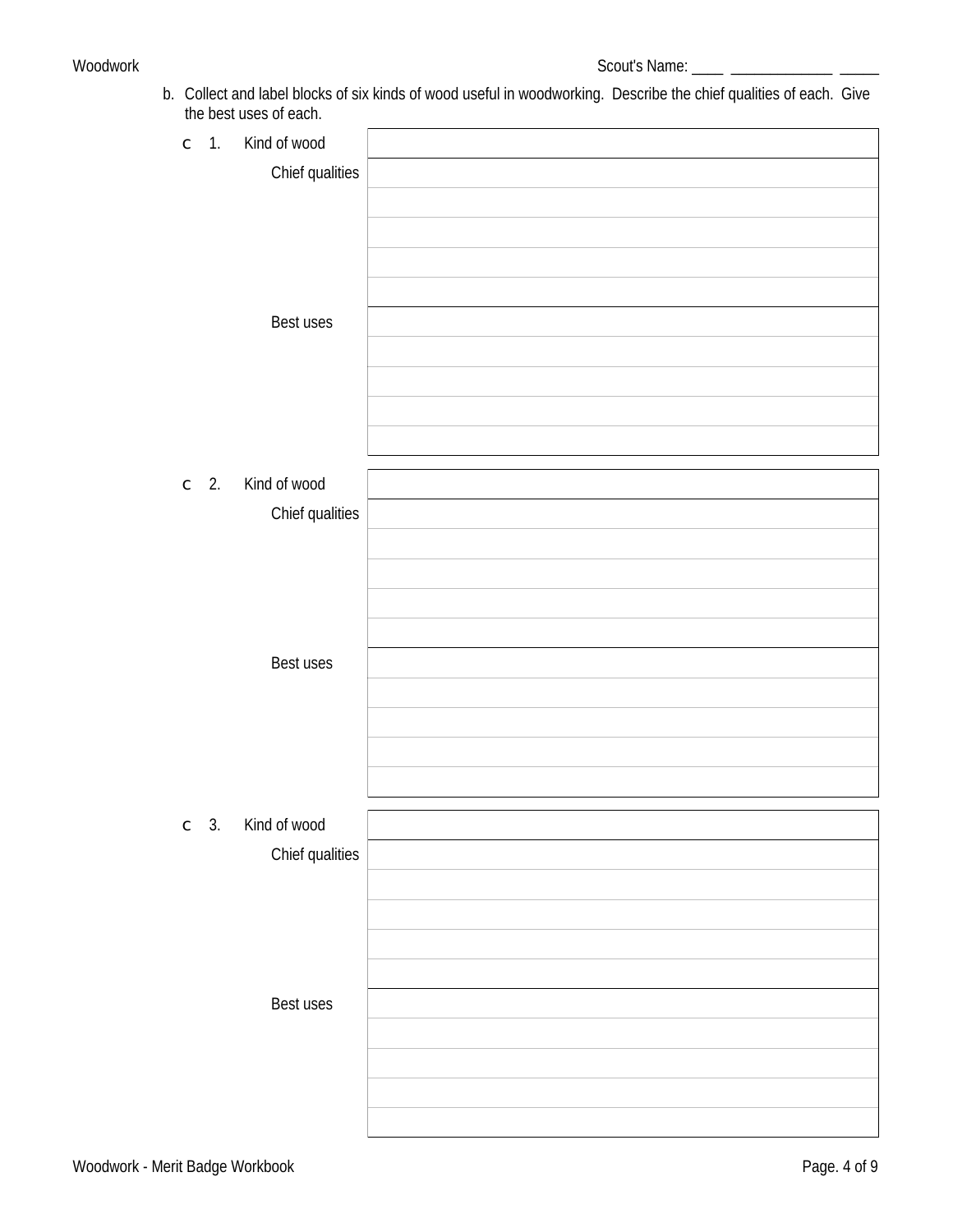b. Collect and label blocks of six kinds of wood useful in woodworking. Describe the chief qualities of each. Give the best uses of each.

| . .          |                                                    |  |
|--------------|----------------------------------------------------|--|
|              | $\begin{bmatrix} 1 & 1 \end{bmatrix}$ Kind of wood |  |
|              | <b>Chief qualities</b>                             |  |
|              |                                                    |  |
|              |                                                    |  |
|              |                                                    |  |
|              |                                                    |  |
|              |                                                    |  |
|              | <b>Best uses</b>                                   |  |
|              |                                                    |  |
|              |                                                    |  |
|              |                                                    |  |
|              |                                                    |  |
|              |                                                    |  |
|              |                                                    |  |
| $\subset$ 2. | Kind of wood                                       |  |
|              | <b>Chief qualities</b>                             |  |
|              |                                                    |  |
|              |                                                    |  |
|              |                                                    |  |
|              |                                                    |  |
|              |                                                    |  |
|              | Best uses                                          |  |
|              |                                                    |  |
|              |                                                    |  |
|              |                                                    |  |
|              |                                                    |  |
|              |                                                    |  |
|              |                                                    |  |
| $\subset$ 3. | Kind of wood                                       |  |
|              | <b>Chief qualities</b>                             |  |
|              |                                                    |  |
|              |                                                    |  |
|              |                                                    |  |
|              |                                                    |  |
|              |                                                    |  |
|              | Best uses                                          |  |
|              |                                                    |  |
|              |                                                    |  |
|              |                                                    |  |
|              |                                                    |  |
|              |                                                    |  |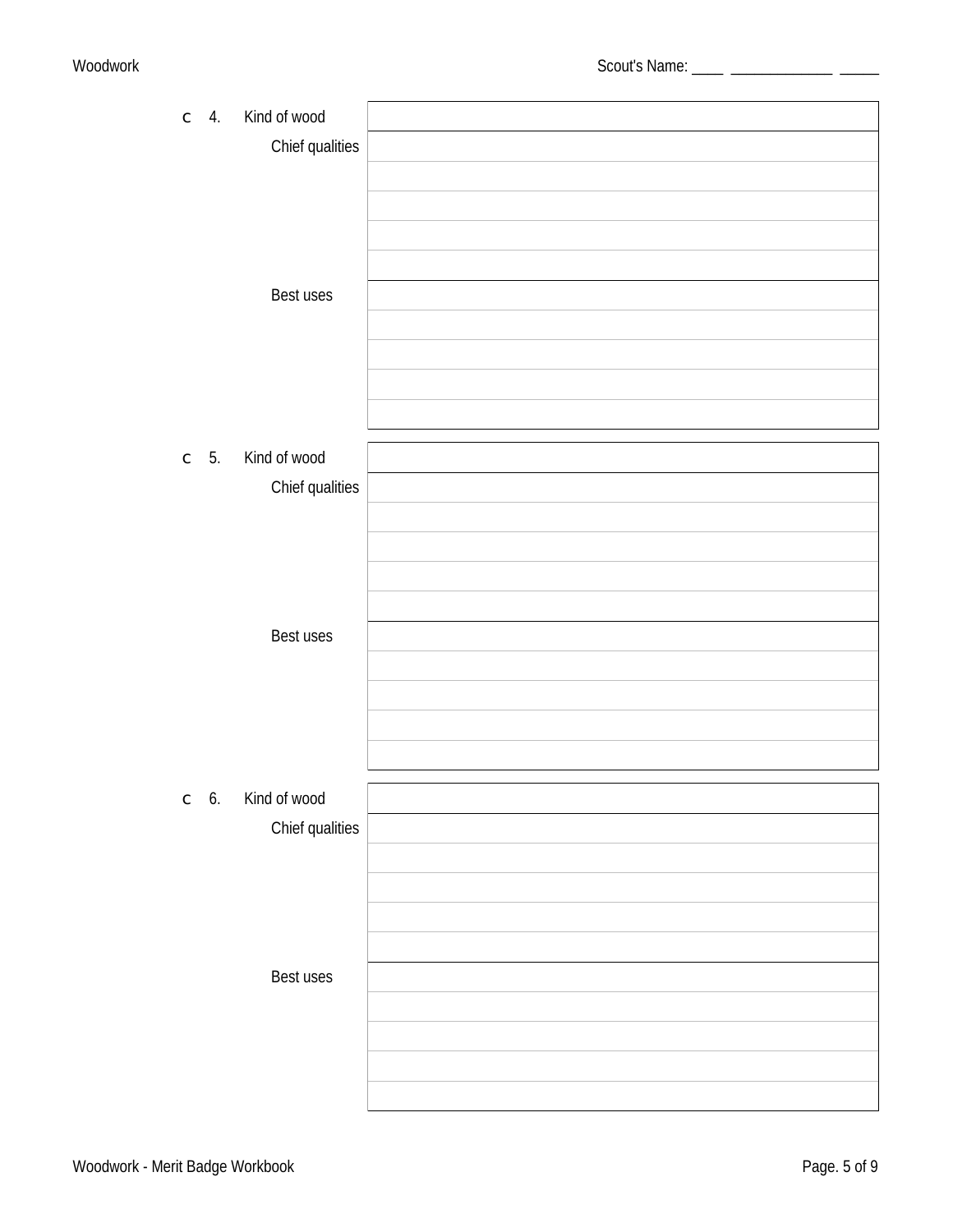| $\subset$ 4.    | Kind of wood                           |  |
|-----------------|----------------------------------------|--|
|                 | <b>Chief qualities</b>                 |  |
|                 |                                        |  |
|                 |                                        |  |
|                 |                                        |  |
|                 |                                        |  |
|                 | <b>Best uses</b>                       |  |
|                 |                                        |  |
|                 |                                        |  |
|                 |                                        |  |
|                 |                                        |  |
| $\subset$ 5.    | Kind of wood                           |  |
|                 | <b>Chief qualities</b>                 |  |
|                 |                                        |  |
|                 |                                        |  |
|                 |                                        |  |
|                 |                                        |  |
|                 | Best uses                              |  |
|                 |                                        |  |
|                 |                                        |  |
|                 |                                        |  |
|                 |                                        |  |
|                 |                                        |  |
| $\mathbb{C}$ 6. | Kind of wood<br><b>Chief qualities</b> |  |
|                 |                                        |  |
|                 |                                        |  |
|                 |                                        |  |
|                 |                                        |  |
|                 | Best uses                              |  |
|                 |                                        |  |
|                 |                                        |  |
|                 |                                        |  |
|                 |                                        |  |
|                 |                                        |  |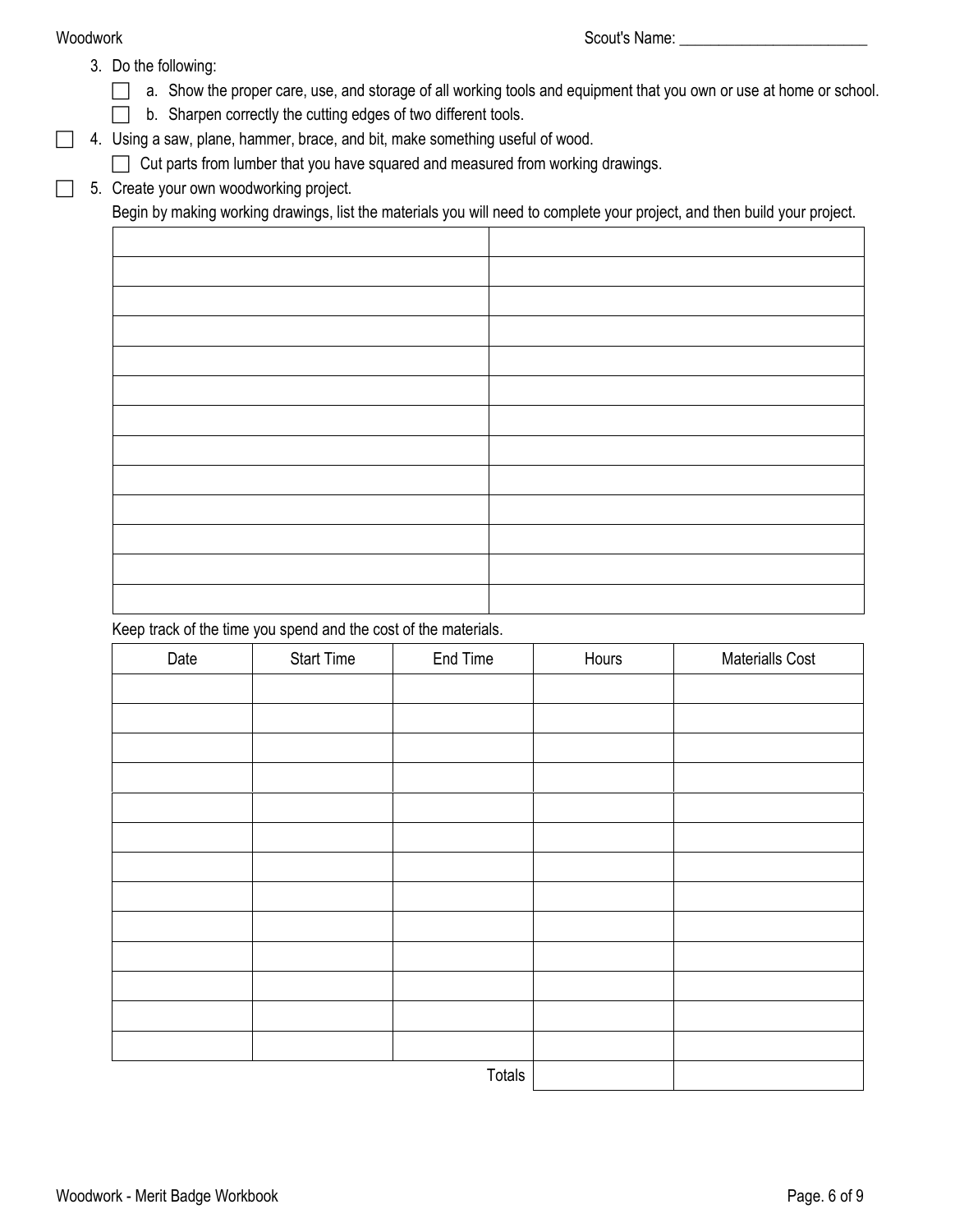- 3. Do the following:
	- $\Box$  a. Show the proper care, use, and storage of all working tools and equipment that you own or use at home or school.
	- b. Sharpen correctly the cutting edges of two different tools.
- 4. Using a saw, plane, hammer, brace, and bit, make something useful of wood.
	- Cut parts from lumber that you have squared and measured from working drawings.
- 5. Create your own woodworking project.

Begin by making working drawings, list the materials you will need to complete your project, and then build your project.

Keep track of the time you spend and the cost of the materials.

| Date | <b>Start Time</b> | End Time | Hours | Materialls Cost |
|------|-------------------|----------|-------|-----------------|
|      |                   |          |       |                 |
|      |                   |          |       |                 |
|      |                   |          |       |                 |
|      |                   |          |       |                 |
|      |                   |          |       |                 |
|      |                   |          |       |                 |
|      |                   |          |       |                 |
|      |                   |          |       |                 |
|      |                   |          |       |                 |
|      |                   |          |       |                 |
|      |                   |          |       |                 |
|      |                   |          |       |                 |
|      |                   |          |       |                 |
|      |                   | Totals   |       |                 |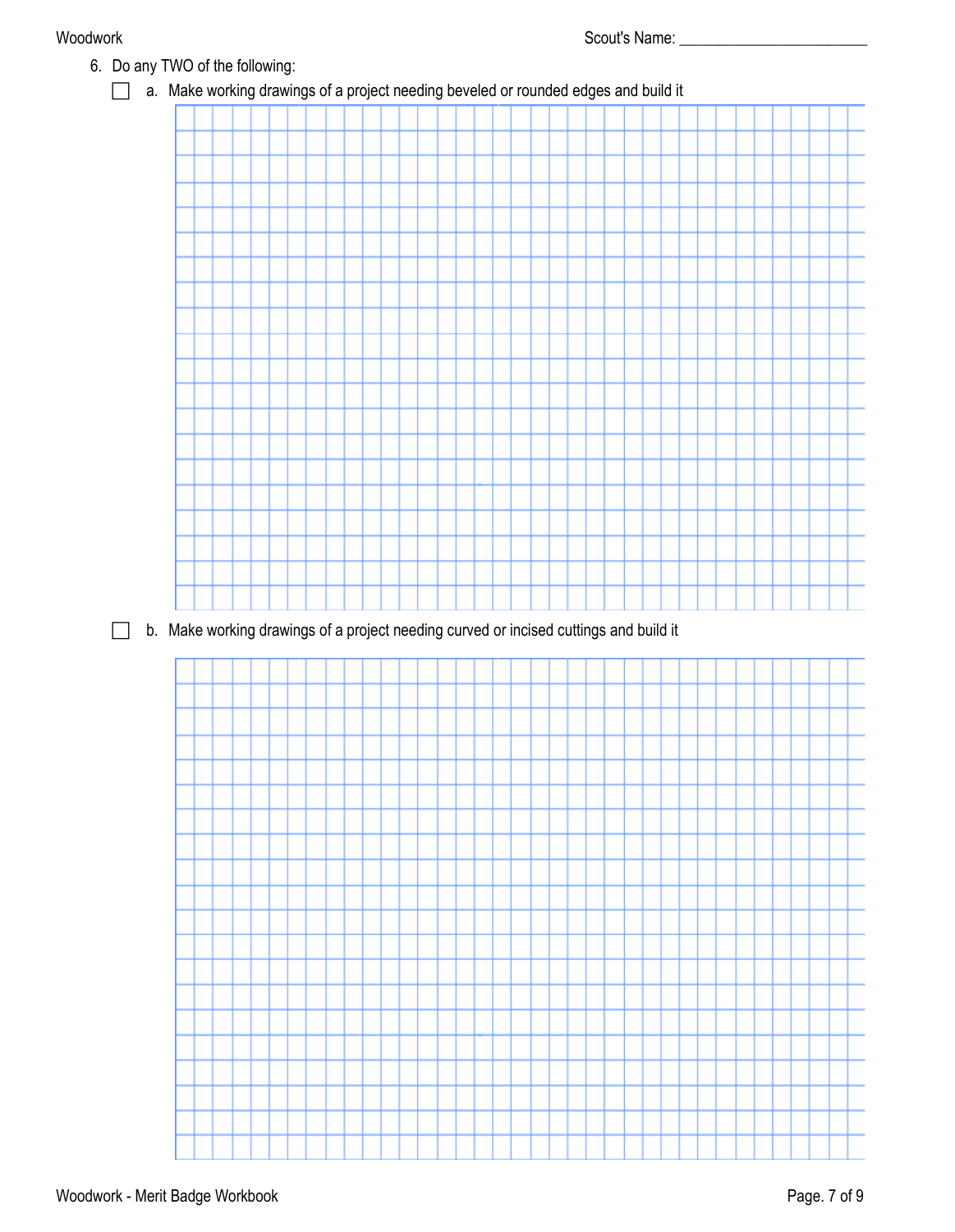6. Do any TWO of the following: a. Make working drawings of a project needing beveled or rounded edges and build it b. Make working drawings of a project needing curved or incised cuttings and build it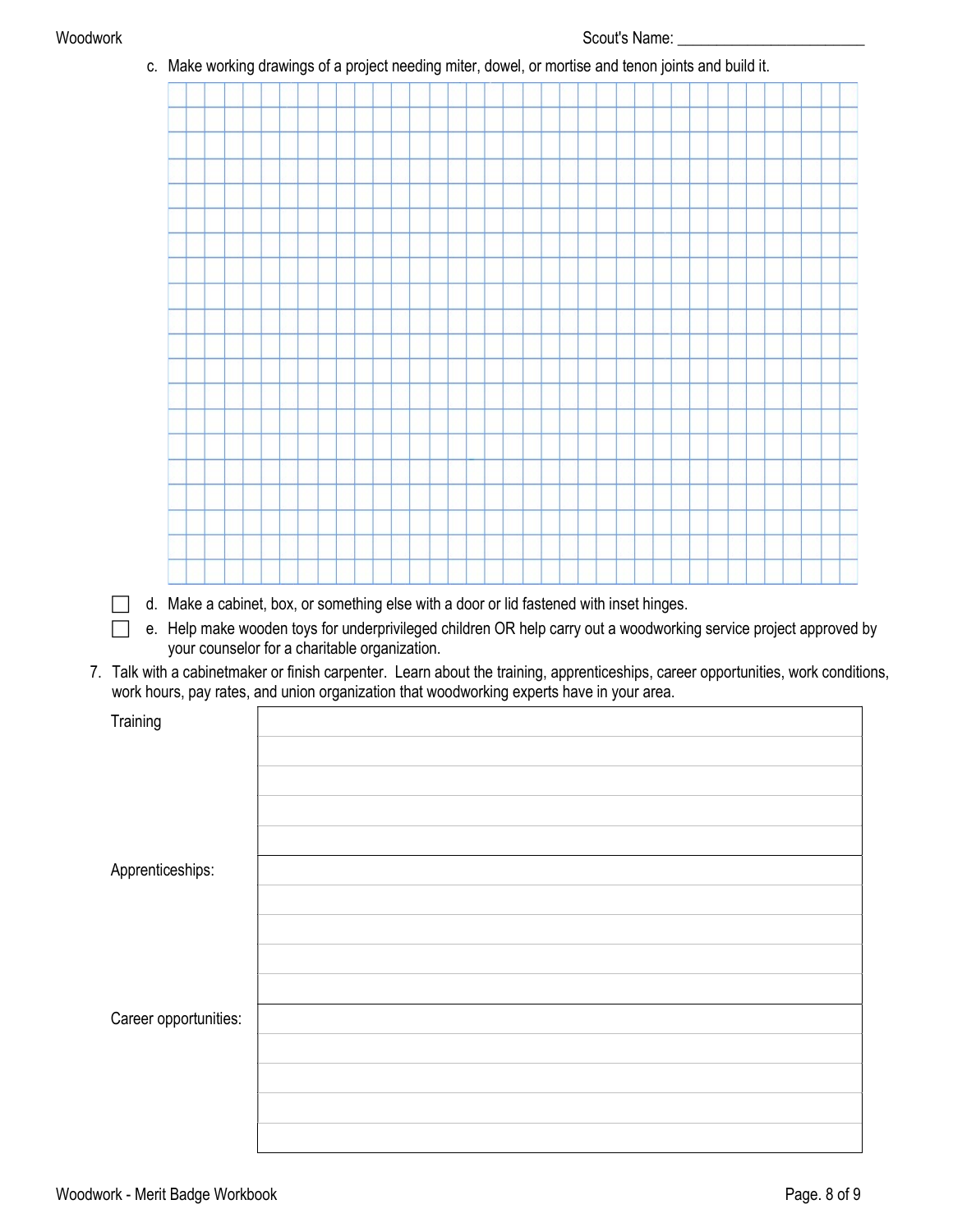| $\vert \ \ \vert$                                                                                                                  |  |  |  |  |                                               |  |  | d. Make a cabinet, box, or something else with a door or lid fastened with inset hinges.<br>e. Help make wooden toys for underprivileged children OR help carry out a woodworking service project approved by |  |  |  |  |  |  |  |  |  |
|------------------------------------------------------------------------------------------------------------------------------------|--|--|--|--|-----------------------------------------------|--|--|---------------------------------------------------------------------------------------------------------------------------------------------------------------------------------------------------------------|--|--|--|--|--|--|--|--|--|
| 7. Talk with a cabinetmaker or finish carpenter. Learn about the training, apprenticeships, career opportunities, work conditions, |  |  |  |  | your counselor for a charitable organization. |  |  |                                                                                                                                                                                                               |  |  |  |  |  |  |  |  |  |
| work hours, pay rates, and union organization that woodworking experts have in your area.                                          |  |  |  |  |                                               |  |  |                                                                                                                                                                                                               |  |  |  |  |  |  |  |  |  |
| Training                                                                                                                           |  |  |  |  |                                               |  |  |                                                                                                                                                                                                               |  |  |  |  |  |  |  |  |  |
|                                                                                                                                    |  |  |  |  |                                               |  |  |                                                                                                                                                                                                               |  |  |  |  |  |  |  |  |  |
|                                                                                                                                    |  |  |  |  |                                               |  |  |                                                                                                                                                                                                               |  |  |  |  |  |  |  |  |  |
|                                                                                                                                    |  |  |  |  |                                               |  |  |                                                                                                                                                                                                               |  |  |  |  |  |  |  |  |  |
|                                                                                                                                    |  |  |  |  |                                               |  |  |                                                                                                                                                                                                               |  |  |  |  |  |  |  |  |  |
|                                                                                                                                    |  |  |  |  |                                               |  |  |                                                                                                                                                                                                               |  |  |  |  |  |  |  |  |  |
| Apprenticeships:                                                                                                                   |  |  |  |  |                                               |  |  |                                                                                                                                                                                                               |  |  |  |  |  |  |  |  |  |
|                                                                                                                                    |  |  |  |  |                                               |  |  |                                                                                                                                                                                                               |  |  |  |  |  |  |  |  |  |
|                                                                                                                                    |  |  |  |  |                                               |  |  |                                                                                                                                                                                                               |  |  |  |  |  |  |  |  |  |
|                                                                                                                                    |  |  |  |  |                                               |  |  |                                                                                                                                                                                                               |  |  |  |  |  |  |  |  |  |
|                                                                                                                                    |  |  |  |  |                                               |  |  |                                                                                                                                                                                                               |  |  |  |  |  |  |  |  |  |
|                                                                                                                                    |  |  |  |  |                                               |  |  |                                                                                                                                                                                                               |  |  |  |  |  |  |  |  |  |
| Career opportunities:                                                                                                              |  |  |  |  |                                               |  |  |                                                                                                                                                                                                               |  |  |  |  |  |  |  |  |  |
|                                                                                                                                    |  |  |  |  |                                               |  |  |                                                                                                                                                                                                               |  |  |  |  |  |  |  |  |  |
|                                                                                                                                    |  |  |  |  |                                               |  |  |                                                                                                                                                                                                               |  |  |  |  |  |  |  |  |  |